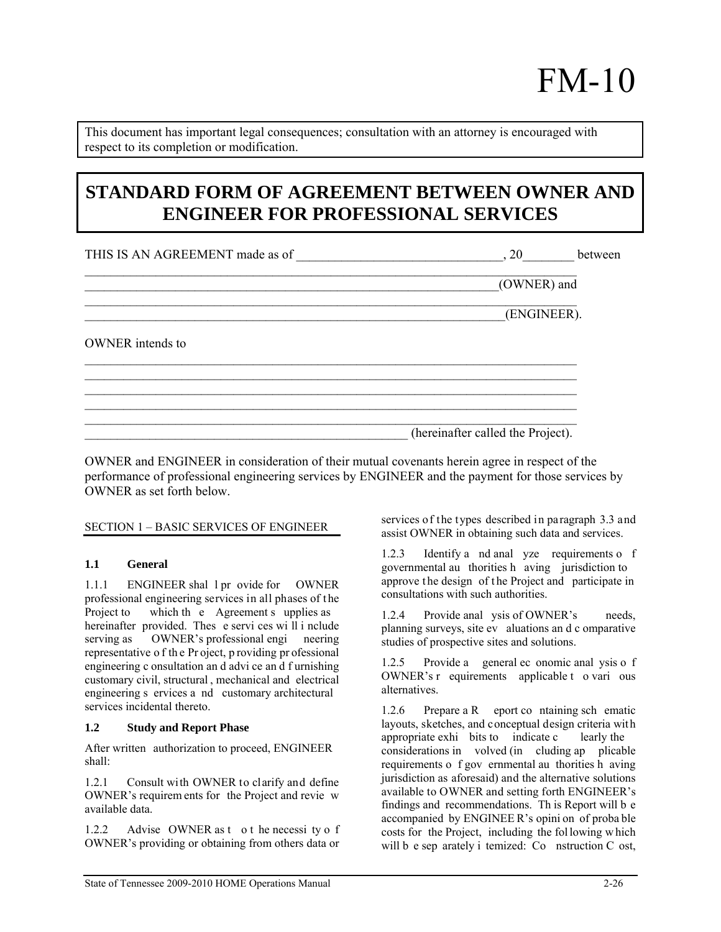This document has important legal consequences; consultation with an attorney is encouraged with respect to its completion or modification.

# **STANDARD FORM OF AGREEMENT BETWEEN OWNER AND ENGINEER FOR PROFESSIONAL SERVICES**

| THIS IS AN AGREEMENT made as of | 20<br>between                     |
|---------------------------------|-----------------------------------|
|                                 | (OWNER) and                       |
|                                 | (ENGINEER).                       |
| <b>OWNER</b> intends to         |                                   |
|                                 |                                   |
|                                 |                                   |
|                                 | (hereinafter called the Project). |

OWNER and ENGINEER in consideration of their mutual covenants herein agree in respect of the performance of professional engineering services by ENGINEER and the payment for those services by OWNER as set forth below.

## SECTION 1 – BASIC SERVICES OF ENGINEER

## **1.1 General**

1.1.1 ENGINEER shal l pr ovide for OWNER professional engineering services in all phases of t he Project to which the Agreement s upplies as hereinafter provided. Thes e servi ces will i nclude serving as OWNER's professional engi neering representative o f th e Pr oject, p roviding pr ofessional engineering c onsultation an d advi ce an d f urnishing customary civil, structural , mechanical and electrical engineering s ervices a nd customary architectural services incidental thereto.

## **1.2 Study and Report Phase**

After written authorization to proceed, ENGINEER shall:

1.2.1 Consult with OWNER to clarify and define OWNER's requirem ents for the Project and revie w available data.

1.2.2 Advise OWNER as t o t he necessi ty o f OWNER's providing or obtaining from others data or

services of the types described in paragraph 3.3 and assist OWNER in obtaining such data and services.

1.2.3 Identify a nd anal yze requirements o f governmental au thorities h aving jurisdiction to approve t he design of t he Project and participate in consultations with such authorities.

1.2.4 Provide anal ysis of OWNER's needs, planning surveys, site ev aluations an d c omparative studies of prospective sites and solutions.

1.2.5 Provide a general ec onomic anal ysis o f OWNER's r equirements applicable t o vari ous alternatives.

1.2.6 Prepare a R eport co ntaining sch ematic layouts, sketches, and conceptual design criteria with appropriate exhi bits to indicate c learly the considerations in volved (in cluding ap plicable requirements o f gov ernmental au thorities h aving jurisdiction as aforesaid) and the alternative solutions available to OWNER and setting forth ENGINEER's findings and recommendations. Th is Report will b e accompanied by ENGINEE R's opini on of proba ble costs for the Project, including the fol lowing w hich will b e sep arately i temized: Co nstruction C ost,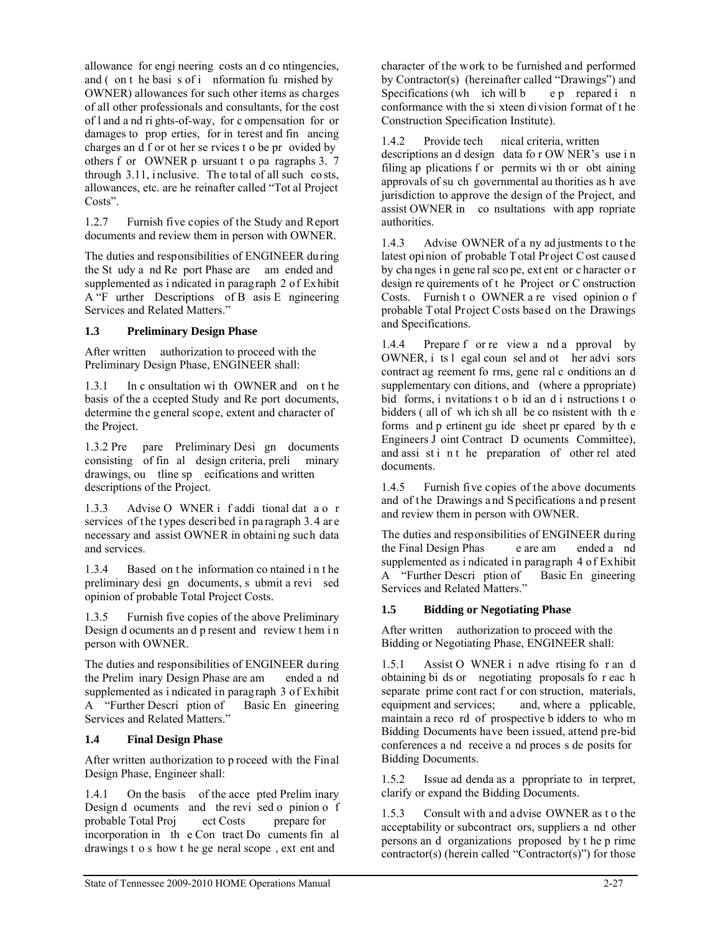allowance for engi neering costs an d co ntingencies, and ( on t he basi s of i nformation fu rnished by OWNER) allowances for such other items as charges of all other professionals and consultants, for the cost of l and a nd ri ghts-of-way, for c ompensation for or damages to prop erties, for in terest and fin ancing charges an d f or ot her se rvices t o be pr ovided by others f or OWNER p ursuant t o pa ragraphs 3. 7 through 3.11, inclusive. The total of all such costs, allowances, etc. are he reinafter called "Tot al Project Costs".

1.2.7 Furnish five copies of the Study and Report documents and review them in person with OWNER.

The duties and responsibilities of ENGINEER during the St udy a nd Re port Phase are am ended and supplemented as i ndicated in paragraph 2 of Exhibit A "F urther Descriptions of B asis E ngineering Services and Related Matters."

## **1.3 Preliminary Design Phase**

After written authorization to proceed with the Preliminary Design Phase, ENGINEER shall:

1.3.1 In c onsultation wi th OWNER and on t he basis of the a ccepted Study and Re port documents, determine the general scope, extent and character of the Project.

1.3.2 Pre pare Preliminary Desi gn documents consisting of fin al design criteria, preli minary drawings, ou tline sp ecifications and written descriptions of the Project.

1.3.3 Advise O WNER i f addi tional dat a o r services of the types described in paragraph 3.4 are necessary and assist OWNER in obtaini ng such data and services.

1.3.4 Based on t he information co ntained i n t he preliminary desi gn documents, s ubmit a revi sed opinion of probable Total Project Costs.

1.3.5 Furnish five copies of the above Preliminary Design d ocuments an d p resent and review t hem i n person with OWNER.

The duties and responsibilities of ENGINEER during the Prelim inary Design Phase are am ended a nd supplemented as i ndicated in paragraph 3 of Exhibit<br>A "Further Description of Basic Engineering A "Further Descri ption of Services and Related Matters."

#### **1.4 Final Design Phase**

After written authorization to p roceed with the Final Design Phase, Engineer shall:

1.4.1 On the basis of the acce pted Prelim inary Design d ocuments and the revi sed o pinion o f probable Total Proj ect Costs prepare for incorporation in th e Con tract Do cuments fin al drawings t o s how t he ge neral scope , ext ent and

character of the work to be furnished and performed by Contractor(s) (hereinafter called "Drawings") and Specifications (wh ich will b e p repared i n conformance with the si xteen division format of t he Construction Specification Institute).

1.4.2 Provide tech nical criteria, written

descriptions an d design data fo r OW NER's use i n filing ap plications f or permits wi th or obt aining approvals of su ch governmental au thorities as h ave jurisdiction to approve the design of the Project, and assist OWNER in co nsultations with app ropriate authorities.

1.4.3 Advise OWNER of a ny ad justments to the latest opinion of probable Total Project Cost caused by cha nges i n gene ral sco pe, ext ent or c haracter o r design re quirements of t he Project or C onstruction Costs. Furnish t o OWNER a re vised opinion o f probable Total Project Costs based on the Drawings and Specifications.

1.4.4 Prepare f or re view a nd a pproval by OWNER, i ts l egal coun sel and ot her advi sors contract ag reement fo rms, gene ral c onditions an d supplementary con ditions, and (where a ppropriate) bid forms, i nvitations t o b id an d i nstructions t o bidders ( all of wh ich sh all be co nsistent with th e forms and p ertinent gu ide sheet pr epared by th e Engineers J oint Contract D ocuments Committee), and assi st i n t he preparation of other rel ated documents.

1.4.5 Furnish five copies of the above documents and of t he Drawings a nd S pecifications a nd p resent and review them in person with OWNER.

The duties and responsibilities of ENGINEER during the Final Design Phas e are am ended a nd supplemented as i ndicated in paragraph 4 of Exhibit A "Further Descri ption of Basic En gineering Services and Related Matters."

#### **1.5 Bidding or Negotiating Phase**

After written authorization to proceed with the Bidding or Negotiating Phase, ENGINEER shall:

1.5.1 Assist O WNER i n adve rtising fo r an d obtaining bi ds or negotiating proposals fo r eac h separate prime cont ract f or con struction, materials, equipment and services; and, where a pplicable, maintain a reco rd of prospective b idders to who m Bidding Documents have been issued, attend pre-bid conferences a nd receive a nd proces s de posits for Bidding Documents.

1.5.2 Issue ad denda as a ppropriate to in terpret, clarify or expand the Bidding Documents.

1.5.3 Consult with and advise OWNER as t o the acceptability or subcontract ors, suppliers a nd other persons an d organizations proposed by t he p rime contractor(s) (herein called "Contractor(s)") for those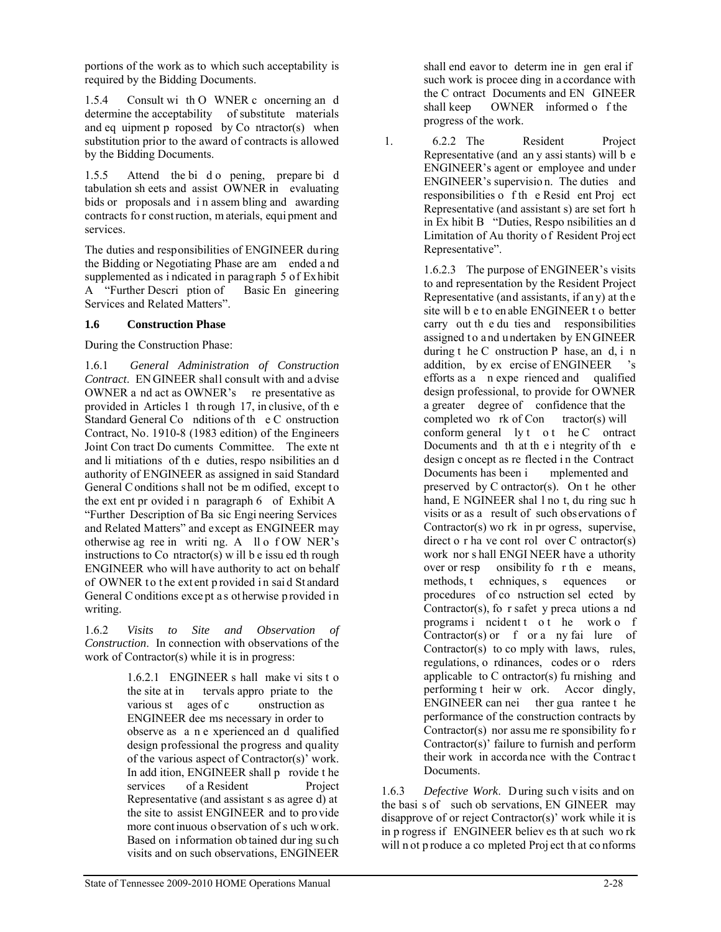portions of the work as to which such acceptability is required by the Bidding Documents.

1.5.4 Consult wi th O WNER c oncerning an d determine the acceptability of substitute materials and eq uipment p roposed by Co ntractor(s) when substitution prior to the award of contracts is allowed by the Bidding Documents.

1.5.5 Attend the bi d o pening, prepare bi d tabulation sh eets and assist OWNER in evaluating bids or proposals and i n assem bling and awarding contracts fo r const ruction, m aterials, equi pment and services.

The duties and responsibilities of ENGINEER during the Bidding or Negotiating Phase are am ended a nd supplemented as i ndicated in paragraph 5 of Exhibit<br>A "Further Descri ption of Basic Engineering A "Further Descri ption of Services and Related Matters".

# **1.6 Construction Phase**

During the Construction Phase:

1.6.1 *General Administration of Construction Contract*. EN GINEER shall consult with and a dvise OWNER a nd act as OWNER's re presentative as provided in Articles 1 th rough 17, in clusive, of th e Standard General Co nditions of th e C onstruction Contract, No. 1910-8 (1983 edition) of the Engineers Joint Con tract Do cuments Committee. The exte nt and li mitiations of th e duties, respo nsibilities an d authority of ENGINEER as assigned in said Standard General C onditions s hall not be m odified, except to the ext ent pr ovided i n paragraph 6 of Exhibit A "Further Description of Ba sic Engi neering Services and Related Matters" and except as ENGINEER may otherwise ag ree in writi ng. A ll o f OW NER's instructions to Co ntractor(s) w ill b e issu ed th rough ENGINEER who will have authority to act on behalf of OWNER to the extent p rovided in said Standard General C onditions except as otherwise p rovided in writing.

1.6.2 *Visits to Site and Observation of Construction*. In connection with observations of the work of Contractor(s) while it is in progress:

> 1.6.2.1 ENGINEER s hall make vi sits t o the site at in tervals appro priate to the various st ages of c onstruction as ENGINEER dee ms necessary in order to observe as a n e xperienced an d qualified design professional the progress and quality of the various aspect of Contractor(s)' work. In add ition, ENGINEER shall p rovide t he services of a Resident Project Representative (and assistant s as agree d) at the site to assist ENGINEER and to pro vide more cont inuous o bservation of s uch w ork. Based on i nformation ob tained dur ing su ch visits and on such observations, ENGINEER

shall end eavor to determ ine in gen eral if such work is procee ding in a ccordance with the C ontract Documents and EN GINEER shall keep OWNER informed o f the progress of the work.

 1. 6.2.2 The Resident Project Representative (and an y assi stants) will b e ENGINEER's agent or employee and under ENGINEER's supervisio n. The duties and responsibilities o f th e Resid ent Proj ect Representative (and assistant s) are set fort h in Ex hibit B "Duties, Respo nsibilities an d Limitation of Au thority o f Resident Proj ect Representative".

> 1.6.2.3 The purpose of ENGINEER's visits to and representation by the Resident Project Representative (and assistants, if an y) at th e site will b e to en able ENGINEER t o better carry out th e du ties and responsibilities assigned to and undertaken by ENGINEER during t he C onstruction P hase, an d, i n addition, by ex ercise of ENGINEER 's efforts as a n expe rienced and qualified design professional, to provide for OWNER a greater degree of confidence that the completed wo rk of Con tractor(s) will conform general  $\vert \mathbf{v} \vert \mathbf{t}$  o  $\mathbf{t} \vert$  he C ontract Documents and th at the i ntegrity of the design c oncept as re flected in the Contract<br>Documents has been i mplemented and Documents has been i preserved by C ontractor(s). On t he other hand, E NGINEER shal l no t, du ring suc h visits or as a result of such observations of Contractor(s) wo rk in pr ogress, supervise, direct o r ha ve cont rol over C ontractor(s) work nor s hall ENGI NEER have a uthority over or resp onsibility fo r th e means, methods, t echniques, s equences or procedures of co nstruction sel ected by Contractor(s), fo r safet y preca utions a nd programs i ncident to the work of Contractor(s) or  $f$  or a ny fai lure of Contractor(s) to co mply with laws, rules, regulations, o rdinances, codes or o rders applicable to C ontractor(s) fu rnishing and performing t heir w ork. Accor dingly, ENGINEER can nei ther gua rantee t he performance of the construction contracts by Contractor(s) nor assu me re sponsibility fo r Contractor(s)' failure to furnish and perform their work in accorda nce with the Contrac t Documents.

1.6.3 *Defective Work*. During such visits and on the basi s of such ob servations, EN GINEER may disapprove of or reject Contractor(s)' work while it is in p rogress if ENGINEER believ es th at such wo rk will n ot p roduce a co mpleted Proj ect that co nforms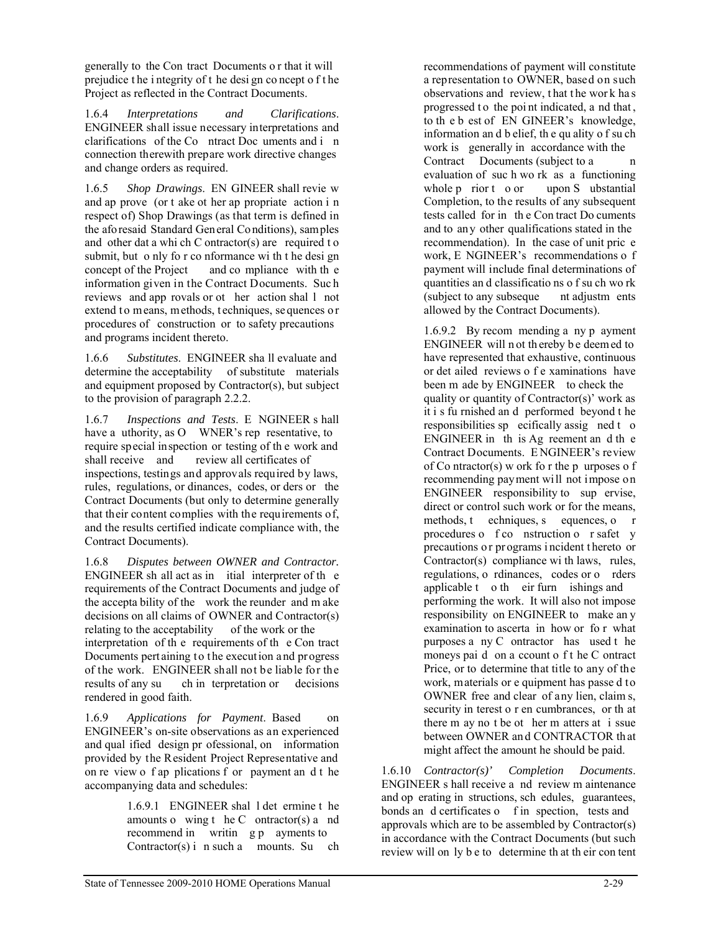generally to the Con tract Documents o r that it will prejudice t he i ntegrity of t he desi gn co ncept o f t he Project as reflected in the Contract Documents.

1.6.4 *Interpretations and Clarifications*. ENGINEER shall issue necessary interpretations and clarifications of the Co ntract Doc uments and i n connection therewith prepare work directive changes and change orders as required.

1.6.5 *Shop Drawings*. EN GINEER shall revie w and ap prove (or t ake ot her ap propriate action i n respect of) Shop Drawings (as that term is defined in the aforesaid Standard General Conditions), samples and other dat a whi ch C ontractor(s) are required t o submit, but o nly fo r co nformance wi th t he desi gn concept of the Project and co mpliance with th e information given in the Contract Documents. Suc h reviews and app rovals or ot her action shal l not extend to means, methods, techniques, se quences or procedures of construction or to safety precautions and programs incident thereto.

1.6.6 *Substitutes*. ENGINEER sha ll evaluate and determine the acceptability of substitute materials and equipment proposed by Contractor(s), but subject to the provision of paragraph 2.2.2.

1.6.7 *Inspections and Tests*. E NGINEER s hall have a uthority, as O WNER's rep resentative, to require special inspection or testing of th e work and shall receive and review all certificates of inspections, testings and approvals required by laws, rules, regulations, or dinances, codes, or ders or the Contract Documents (but only to determine generally that their content complies with the requirements of, and the results certified indicate compliance with, the Contract Documents).

1.6.8 *Disputes between OWNER and Contractor.* ENGINEER sh all act as in itial interpreter of th e requirements of the Contract Documents and judge of the accepta bility of the work the reunder and m ake decisions on all claims of OWNER and Contractor(s)<br>relating to the acceptability of the work or the relating to the acceptability interpretation of th e requirements of th e Con tract Documents pertaining to the execution and progress of the work. ENGINEER shall not be liable for the results of any su ch in terpretation or decisions rendered in good faith.

1.6.9 *Applications for Payment*. Based on ENGINEER's on-site observations as an experienced and qual ified design pr ofessional, on information provided by the Resident Project Representative and on re view o f ap plications f or payment an d t he accompanying data and schedules:

> 1.6.9.1 ENGINEER shal l det ermine t he amounts o wing t he C ontractor(s) a nd recommend in writin g p ayments to Contractor(s) i n such a mounts. Su ch

recommendations of payment will constitute a representation to OWNER, based on such observations and review, t hat t he wor k ha s progressed t o the poi nt indicated, a nd that , to th e b est of EN GINEER's knowledge, information an d b elief, th e qu ality o f su ch work is generally in accordance with the Contract Documents (subject to a n evaluation of such wo rk as a functioning<br>whole p rior t o or upon S ubstantial whole p rior  $t \circ or$ Completion, to the results of any subsequent tests called for in th e Con tract Do cuments and to any other qualifications stated in the recommendation). In the case of unit pric e work, E NGINEER's recommendations o f payment will include final determinations of quantities an d classificatio ns o f su ch wo rk (subject to any subseque nt adjustm ents allowed by the Contract Documents).

 1.6.9.2 By recom mending a ny p ayment ENGINEER will n ot th ereby b e deem ed to have represented that exhaustive, continuous or det ailed reviews o f e xaminations have been m ade by ENGINEER to check the quality or quantity of Contractor(s)' work as it i s fu rnished an d performed beyond t he responsibilities sp ecifically assig ned t o ENGINEER in th is Ag reement an d th e Contract Documents. E NGINEER's review of Co ntractor(s) w ork fo r the p urposes o f recommending payment will not impose on ENGINEER responsibility to sup ervise, direct or control such work or for the means, methods, t echniques, s equences, o r procedures o f co nstruction o r safet y precautions o r pr ograms i ncident t hereto or Contractor(s) compliance wi th laws, rules, regulations, o rdinances, codes or o rders applicable t o th eir furn ishings and performing the work. It will also not impose responsibility on ENGINEER to make an y examination to ascerta in how or fo r what purposes a ny C ontractor has used t he moneys pai d on a ccount o f t he C ontract Price, or to determine that title to any of the work, materials or e quipment has passe d to OWNER free and clear of any lien, claim s, security in terest o r en cumbrances, or th at there m ay no t be ot her m atters at i ssue between OWNER an d CONTRACTOR th at might affect the amount he should be paid.

1.6.10 *Contractor(s)' Completion Documents*. ENGINEER s hall receive a nd review m aintenance and op erating in structions, sch edules, guarantees, bonds an d certificates o f in spection, tests and approvals which are to be assembled by Contractor(s) in accordance with the Contract Documents (but such review will on ly b e to determine th at th eir con tent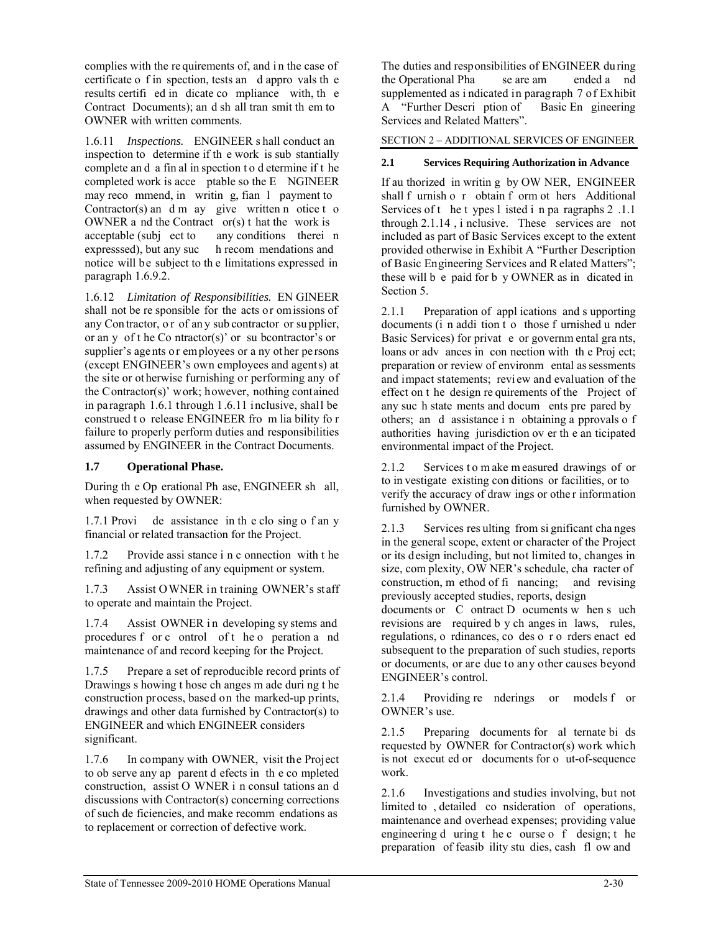complies with the requirements of, and in the case of certificate o f in spection, tests an d appro vals th e results certifi ed in dicate co mpliance with, th e Contract Documents); an d sh all tran smit th em to OWNER with written comments.

1.6.11 *Inspections.* ENGINEER s hall conduct an inspection to determine if th e work is sub stantially complete an d a fin al in spection t o d etermine if t he completed work is acce ptable so the E NGINEER may reco mmend, in writin g, fian l payment to Contractor(s) and m ay give written n otice t o OWNER a nd the Contract or(s) t hat the work is acceptable (subj ect to any conditions therei n expresssed), but any suc h recom mendations and notice will be subject to th e limitations expressed in paragraph 1.6.9.2.

1.6.12 *Limitation of Responsibilities.* EN GINEER shall not be re sponsible for the acts or omissions of any Con tractor, o r of any sub contractor or supplier, or an y of t he Co ntractor(s)' or su bcontractor's or supplier's agents or employees or a ny other persons (except ENGINEER's own employees and agents) at the site or otherwise furnishing or performing any of the Contractor(s)' work; however, nothing contained in paragraph 1.6.1 through 1.6.11 inclusive, shall be construed t o release ENGINEER fro m lia bility fo r failure to properly perform duties and responsibilities assumed by ENGINEER in the Contract Documents.

## **1.7 Operational Phase.**

During th e Op erational Ph ase, ENGINEER sh all, when requested by OWNER:

1.7.1 Provi de assistance in th e clo sing o f an y financial or related transaction for the Project.

1.7.2 Provide assi stance i n c onnection with t he refining and adjusting of any equipment or system.

1.7.3 Assist OWNER in training OWNER's staff to operate and maintain the Project.

1.7.4 Assist OWNER in developing sy stems and procedures f or c ontrol of t he o peration a nd maintenance of and record keeping for the Project.

1.7.5 Prepare a set of reproducible record prints of Drawings s howing t hose ch anges m ade duri ng t he construction process, based on the marked-up prints, drawings and other data furnished by Contractor(s) to ENGINEER and which ENGINEER considers significant.

1.7.6 In company with OWNER, visit the Project to ob serve any ap parent d efects in th e co mpleted construction, assist O WNER i n consul tations an d discussions with Contractor(s) concerning corrections of such de ficiencies, and make recomm endations as to replacement or correction of defective work.

The duties and responsibilities of ENGINEER during the Operational Pha se are am ended a nd supplemented as i ndicated in paragraph 7 of Exhibit A "Further Descri ption of Basic En gineering Services and Related Matters".

SECTION 2 – ADDITIONAL SERVICES OF ENGINEER

## **2.1 Services Requiring Authorization in Advance**

If au thorized in writin g by OW NER, ENGINEER shall f urnish o r obtain f orm ot hers Additional Services of the types l isted i n pa ragraphs 2 .1.1 through 2.1.14 , i nclusive. These services are not included as part of Basic Services except to the extent provided otherwise in Exhibit A "Further Description of Basic Engineering Services and R elated Matters"; these will b e paid for b y OWNER as in dicated in Section 5.

2.1.1 Preparation of appl ications and s upporting documents (i n addi tion t o those f urnished u nder Basic Services) for privat e or governm ental gra nts, loans or adv ances in con nection with th e Proj ect; preparation or review of environm ental as sessments and impact statements; revi ew and evaluation of the effect on t he design re quirements of the Project of any suc h state ments and docum ents pre pared by others; an d assistance i n obtaining a pprovals o f authorities having jurisdiction ov er th e an ticipated environmental impact of the Project.

2.1.2 Services to m ake m easured drawings of or to in vestigate existing con ditions or facilities, or to verify the accuracy of draw ings or othe r information furnished by OWNER.

2.1.3 Services res ulting from si gnificant cha nges in the general scope, extent or character of the Project or its design including, but not limited to, changes in size, com plexity, OW NER's schedule, cha racter of construction, m ethod of fi nancing; and revising previously accepted studies, reports, design

documents or C ontract D ocuments w hen s uch revisions are required b y ch anges in laws, rules, regulations, o rdinances, co des o r o rders enact ed subsequent to the preparation of such studies, reports or documents, or are due to any other causes beyond ENGINEER's control.

2.1.4 Providing re nderings or models f or OWNER's use.

2.1.5 Preparing documents for al ternate bi ds requested by OWNER for Contractor(s) work which is not execut ed or documents for o ut-of-sequence work.

2.1.6 Investigations and studies involving, but not limited to , detailed co nsideration of operations, maintenance and overhead expenses; providing value engineering d uring t he c ourse o f design; t he preparation of feasib ility stu dies, cash fl ow and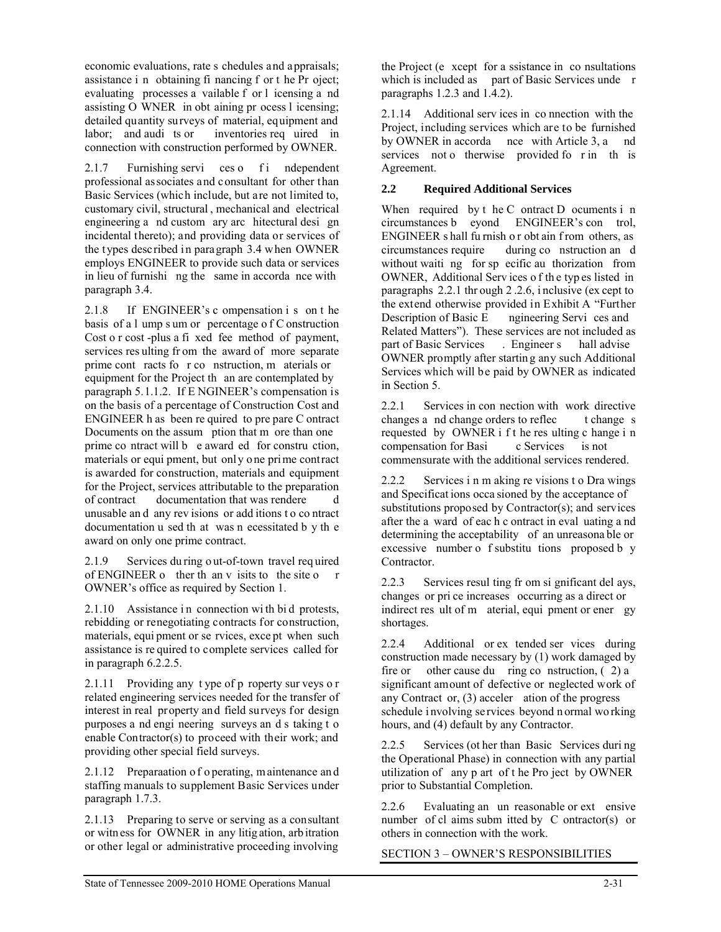economic evaluations, rate s chedules and appraisals; assistance i n obtaining fi nancing f or t he Pr oject; evaluating processes a vailable f or l icensing a nd assisting O WNER in obt aining pr ocess l icensing; detailed quantity surveys of material, equipment and labor; and audi ts or inventories req uired in connection with construction performed by OWNER.

2.1.7 Furnishing servi ces o f i ndependent professional associates and consultant for other than Basic Services (which include, but are not limited to, customary civil, structural , mechanical and electrical engineering a nd custom ary arc hitectural desi gn incidental thereto); and providing data or services of the types described in paragraph 3.4 when OWNER employs ENGINEER to provide such data or services in lieu of furnishi ng the same in accorda nce with paragraph 3.4.

2.1.8 If ENGINEER's c ompensation i s on t he basis of a l ump s um or percentage o f C onstruction Cost o r cost -plus a fi xed fee method of payment, services res ulting fr om the award of more separate prime cont racts fo r co nstruction, m aterials or equipment for the Project th an are contemplated by paragraph 5.1.1.2. If E NGINEER's compensation is on the basis of a percentage of Construction Cost and ENGINEER h as been re quired to pre pare C ontract Documents on the assum ption that m ore than one prime co ntract will b e award ed for constru ction, materials or equi pment, but only one prime contract is awarded for construction, materials and equipment for the Project, services attributable to the preparation of contract documentation that was rendere d unusable an d any rev isions or add itions t o co ntract documentation u sed th at was n ecessitated b y th e award on only one prime contract.

2.1.9 Services du ring o ut-of-town travel req uired of ENGINEER  $\circ$  ther th an v isits to the site  $\circ$ OWNER's office as required by Section 1.

2.1.10 Assistance in connection with bid protests, rebidding or renegotiating contracts for construction, materials, equi pment or se rvices, exce pt when such assistance is re quired to complete services called for in paragraph 6.2.2.5.

2.1.11 Providing any t ype of p roperty sur veys o r related engineering services needed for the transfer of interest in real property and field surveys for design purposes a nd engi neering surveys an d s taking t o enable Contractor(s) to proceed with their work; and providing other special field surveys.

2.1.12 Preparaation o f o perating, m aintenance an d staffing manuals to supplement Basic Services under paragraph 1.7.3.

2.1.13 Preparing to serve or serving as a consultant or witn ess for OWNER in any litig ation, arb itration or other legal or administrative proceeding involving

the Project (e xcept for a ssistance in co nsultations which is included as part of Basic Services unde r paragraphs 1.2.3 and 1.4.2).

2.1.14 Additional serv ices in co nnection with the Project, including services which are to be furnished by OWNER in accorda nce with Article 3, a nd services not o therwise provided fo r in th is Agreement.

## **2.2 Required Additional Services**

When required by t he C ontract D ocuments i n circumstances b eyond ENGINEER's con trol, ENGINEER s hall fu rnish o r obt ain f rom others, as circumstances require during co nstruction an d without waiti ng for sp ecific au thorization from OWNER, Additional Serv ices o f th e typ es listed in paragraphs 2.2.1 thr ough 2 .2.6, i nclusive (ex cept to the extend otherwise provided in Exhibit A "Further<br>Description of Basic E ngineering Servi ces and ngineering Servi ces and Related Matters"). These services are not included as part of Basic Services . Engineer s hall advise OWNER promptly after startin g any such Additional Services which will be paid by OWNER as indicated in Section 5.

2.2.1 Services in con nection with work directive changes a nd change orders to reflec t change s requested by OWNER i f t he res ulting c hange i n<br>compensation for Basi c Services is not compensation for Basi c Services is not commensurate with the additional services rendered.

2.2.2 Services i n m aking re visions t o Dra wings and Specificat ions occa sioned by the acceptance of substitutions proposed by Contractor(s); and services after the a ward of eac h c ontract in eval uating a nd determining the acceptability of an unreasona ble or excessive number o f substitu tions proposed b y Contractor.

2.2.3 Services resul ting fr om si gnificant del ays, changes or pri ce increases occurring as a direct or indirect res ult of m aterial, equi pment or ener gy shortages.

2.2.4 Additional or ex tended ser vices during construction made necessary by (1) work damaged by fire or other cause du ring co nstruction, ( 2) a significant amount of defective or neglected work of any Contract or, (3) acceler ation of the progress schedule i nvolving se rvices beyond n ormal wo rking hours, and (4) default by any Contractor.

2.2.5 Services (ot her than Basic Services duri ng the Operational Phase) in connection with any partial utilization of any p art of t he Pro ject by OWNER prior to Substantial Completion.

2.2.6 Evaluating an un reasonable or ext ensive number of cl aims subm itted by C ontractor(s) or others in connection with the work.

SECTION 3 – OWNER'S RESPONSIBILITIES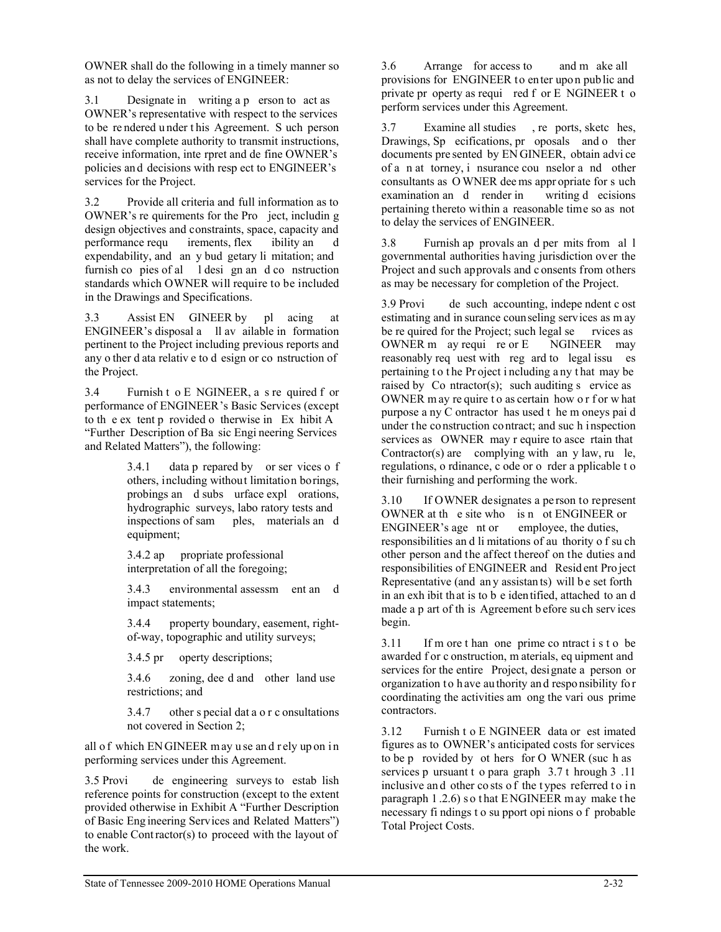OWNER shall do the following in a timely manner so as not to delay the services of ENGINEER:

3.1 Designate in writing a p erson to act as OWNER's representative with respect to the services to be re ndered u nder t his Agreement. S uch person shall have complete authority to transmit instructions, receive information, inte rpret and de fine OWNER's policies an d decisions with resp ect to ENGINEER's services for the Project.

3.2 Provide all criteria and full information as to OWNER's re quirements for the Pro ject, includin g design objectives and constraints, space, capacity and performance requ irements, flex ibility an d expendability, and an y bud getary li mitation; and furnish co pies of al l desi gn an d co nstruction standards which OWNER will require to be included in the Drawings and Specifications.

3.3 Assist EN GINEER by pl acing at ENGINEER's disposal a ll av ailable in formation pertinent to the Project including previous reports and any o ther d ata relativ e to d esign or co nstruction of the Project.

3.4 Furnish t o E NGINEER, a s re quired f or performance of ENGINEER's Basic Services (except to th e ex tent p rovided o therwise in Ex hibit A "Further Description of Ba sic Engi neering Services and Related Matters"), the following:

> 3.4.1 data p repared by or ser vices o f others, including without limitation borings, probings an d subs urface expl orations, hydrographic surveys, labo ratory tests and inspections of sam ples, materials an d equipment;

3.4.2 ap propriate professional interpretation of all the foregoing;

3.4.3 environmental assessm ent an d impact statements;

3.4.4 property boundary, easement, rightof-way, topographic and utility surveys;

3.4.5 pr operty descriptions;

3.4.6 zoning, dee d and other land use restrictions; and

3.4.7 other s pecial dat a o r c onsultations not covered in Section 2;

all of which EN GINEER may use and rely up on in performing services under this Agreement.

3.5 Provi de engineering surveys to estab lish reference points for construction (except to the extent provided otherwise in Exhibit A "Further Description of Basic Eng ineering Services and Related Matters") to enable Cont ractor(s) to proceed with the layout of the work.

3.6 Arrange for access to and m ake all provisions for ENGINEER to enter upon public and private pr operty as requi red f or E NGINEER t o perform services under this Agreement.

3.7 Examine all studies , re ports, sketc hes, Drawings, Sp ecifications, pr oposals and o ther documents pre sented by EN GINEER, obtain advi ce of a n at torney, i nsurance cou nselor a nd other consultants as O WNER dee ms appr opriate for s uch examination an d render in writing d ecisions pertaining thereto within a reasonable time so as not to delay the services of ENGINEER.

3.8 Furnish ap provals an d per mits from al l governmental authorities having jurisdiction over the Project and such approvals and c onsents from others as may be necessary for completion of the Project.

3.9 Provi de such accounting, indepe ndent c ost estimating and in surance counseling services as m ay<br>be required for the Project; such legal se rvices as be re quired for the Project; such legal se OWNER m ay requi re or E NGINEER may reasonably req uest with reg ard to legal issu es pertaining t o t he Pr oject i ncluding a ny t hat may be raised by Co ntractor(s); such auditing s ervice as OWNER m ay require to as certain how or for what purpose a ny C ontractor has used t he m oneys pai d under the construction contract; and suc h inspection services as OWNER may r equire to asce rtain that Contractor(s) are complying with an y law, ru le, regulations, o rdinance, c ode or o rder a pplicable t o their furnishing and performing the work.

3.10 If OWNER designates a pe rson to represent OWNER at th e site who is n ot ENGINEER or ENGINEER's age nt or employee, the duties, responsibilities an d li mitations of au thority o f su ch other person and the affect thereof on the duties and responsibilities of ENGINEER and Resid ent Pro ject Representative (and any assistants) will be set forth in an exh ibit that is to b e identified, attached to an d made a p art of th is Agreement b efore su ch serv ices begin.

3.11 If m ore t han one prime co ntract i s t o be awarded f or c onstruction, m aterials, eq uipment and services for the entire Project, designate a person or organization to h ave au thority an d respo nsibility fo r coordinating the activities am ong the vari ous prime contractors.

3.12 Furnish t o E NGINEER data or est imated figures as to OWNER's anticipated costs for services to be p rovided by ot hers for O WNER (suc h as services p ursuant t o para graph 3.7 t hrough 3.11 inclusive and other costs of the types referred to in paragraph 1 .2.6) s o t hat E NGINEER m ay make t he necessary fi ndings t o su pport opi nions o f probable Total Project Costs.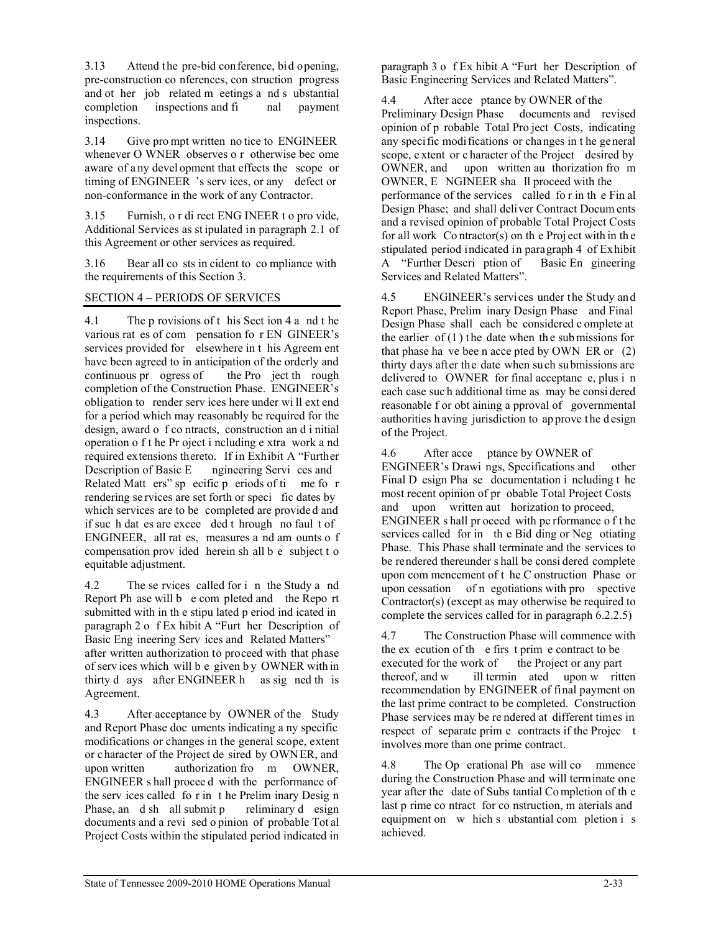3.13 Attend the pre-bid conference, bid opening, pre-construction co nferences, con struction progress and ot her job related m eetings a nd s ubstantial completion inspections and fi nal payment inspections.

3.14 Give pro mpt written no tice to ENGINEER whenever O WNER observes o r otherwise bec ome aware of a ny devel opment that effects the scope or timing of ENGINEER 's serv ices, or any defect or non-conformance in the work of any Contractor.

3.15 Furnish, o r di rect ENG INEER t o pro vide, Additional Services as st ipulated in paragraph 2.1 of this Agreement or other services as required.

3.16 Bear all co sts in cident to co mpliance with the requirements of this Section 3.

# SECTION 4 – PERIODS OF SERVICES

4.1 The p rovisions of t his Sect ion 4 a nd t he various rat es of com pensation fo r EN GINEER's services provided for elsewhere in t his Agreem ent have been agreed to in anticipation of the orderly and<br>continuous pr ogress of the Pro ject th rough continuous pr ogress of completion of the Construction Phase. ENGINEER's obligation to render serv ices here under wi ll ext end for a period which may reasonably be required for the design, award o f co ntracts, construction an d i nitial operation o f t he Pr oject i ncluding e xtra work a nd required extensions thereto. If in Exhibit A "Further Description of Basic E ngineering Servi ces and Related Matt ers" sp ecific p eriods of ti me fo r rendering se rvices are set forth or speci fic dates by which services are to be completed are provide d and if suc h dat es are excee ded t hrough no faul t of ENGINEER, all rat es, measures a nd am ounts o f compensation prov ided herein sh all b e subject t o equitable adjustment.

4.2 The se rvices called for i n the Study a nd Report Ph ase will b e com pleted and the Repo rt submitted with in the stipu lated p eriod ind icated in paragraph 2 o f Ex hibit A "Furt her Description of Basic Eng ineering Serv ices and Related Matters" after written authorization to proceed with that phase

of services which will b e given by OWNER within thirty d ays after ENGINEER h as sig ned th is Agreement.

4.3 After acceptance by OWNER of the Study and Report Phase doc uments indicating a ny specific modifications or changes in the general scope, extent or character of the Project de sired by OWNER, and upon written authorization fro m OWNER, ENGINEER s hall procee d with the performance of the serv ices called fo r in t he Prelim inary Design<br>Phase, and she all submit p reliminary d esign Phase, an  $d \, sh$  all submit p documents and a revi sed o pinion of probable Tot al Project Costs within the stipulated period indicated in

paragraph 3 o f Ex hibit A "Furt her Description of Basic Engineering Services and Related Matters".

4.4 After acce ptance by OWNER of the Preliminary Design Phase documents and revised opinion of p robable Total Pro ject Costs, indicating any specific modifications or changes in t he general scope, e xtent or c haracter of the Project desired by OWNER, and upon written au thorization fro m OWNER, E NGINEER sha ll proceed with the performance of the services called fo r in th e Fin al Design Phase; and shall deliver Contract Docum ents and a revised opinion of probable Total Project Costs for all work Co ntractor(s) on th e Proj ect with in th e stipulated period indicated in paragraph 4 of Exhibit<br>A "Further Descri ption of Basic Engineering A "Further Descri ption of Services and Related Matters".

4.5 ENGINEER's services under the Study and Report Phase, Prelim inary Design Phase and Final Design Phase shall each be considered c omplete at the earlier of  $(1)$  the date when the sub missions for that phase ha ve bee n acce pted by OWN ER or (2) thirty days after the date when such submissions are delivered to OWNER for final acceptanc e, plus i n each case suc h additional time as may be consi dered reasonable f or obt aining a pproval of governmental authorities h aving jurisdiction to ap prove the d esign of the Project.

4.6 After acce ptance by OWNER of

ENGINEER's Drawi ngs, Specifications and other Final D esign Pha se documentation i ncluding t he most recent opinion of pr obable Total Project Costs and upon written aut horization to proceed, ENGINEER s hall pr oceed with pe rformance o f t he services called for in th e Bid ding or Neg otiating Phase. This Phase shall terminate and the services to be rendered thereunder s hall be consi dered complete upon com mencement of t he C onstruction Phase or upon cessation of n egotiations with pro spective Contractor(s) (except as may otherwise be required to complete the services called for in paragraph 6.2.2.5)

4.7 The Construction Phase will commence with the ex ecution of th e firs t prim e contract to be executed for the work of the Project or any part thereof, and w ill termin ated upon w ritten recommendation by ENGINEER of final payment on the last prime contract to be completed. Construction Phase services may be re ndered at different times in respect of separate prim e contracts if the Projec t involves more than one prime contract.

4.8 The Op erational Ph ase will co mmence during the Construction Phase and will terminate one year after the date of Subs tantial Co mpletion of th e last p rime co ntract for co nstruction, m aterials and equipment on w hich s ubstantial com pletion i s achieved.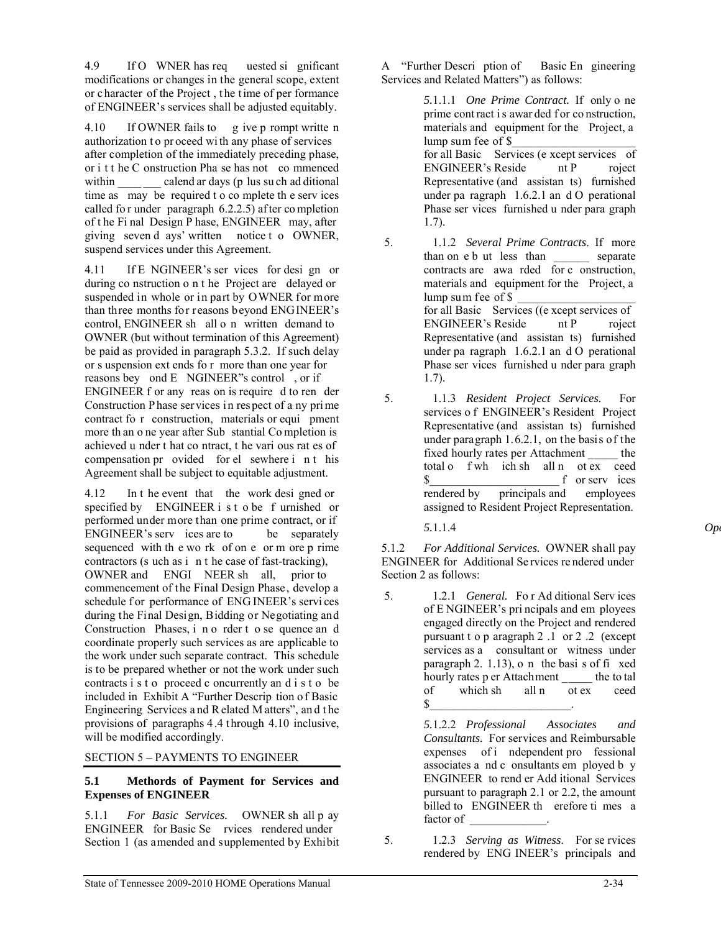4.9 If O WNER has req uested si gnificant modifications or changes in the general scope, extent or c haracter of the Project, the time of per formance of ENGINEER's services shall be adjusted equitably.

4.10 If OWNER fails to g ive p rompt writte n authorization to proceed with any phase of services after completion of the immediately preceding phase, or i t t he C onstruction Pha se has not co mmenced within calend ar days (p lus su ch ad ditional time as may be required t o co mplete th e serv ices called fo r under paragraph 6.2.2.5) af ter co mpletion of t he Fi nal Design P hase, ENGINEER may, after giving seven d ays' written notice t o OWNER, suspend services under this Agreement.

4.11 If E NGINEER's ser vices for desi gn or during co nstruction o n t he Project are delayed or suspended in whole or in part by OWNER for more than three months for reasons beyond ENGINEER's control, ENGINEER sh all o n written demand to OWNER (but without termination of this Agreement) be paid as provided in paragraph 5.3.2. If such delay or s uspension ext ends fo r more than one year for reasons bey ond E NGINEER"s control , or if ENGINEER f or any reas on is require d to ren der Construction Phase services in respect of a ny prime contract fo r construction, materials or equi pment more th an o ne year after Sub stantial Co mpletion is achieved u nder t hat co ntract, t he vari ous rat es of compensation pr ovided for el sewhere i n t his Agreement shall be subject to equitable adjustment.

4.12 In t he event that the work desi gned or specified by ENGINEER i s t o be f urnished or performed under more than one prime contract, or if ENGINEER's serv ices are to be separately sequenced with th e wo rk of on e or m ore p rime contractors (s uch as i n t he case of fast-tracking), OWNER and ENGI NEER sh all, prior to commencement of the Final Design Phase, develop a schedule for performance of ENG INEER's services during the Final Design, Bidding or Negotiating and Construction Phases, i n o rder t o se quence an d coordinate properly such services as are applicable to the work under such separate contract. This schedule is to be prepared whether or not the work under such contracts i s t o proceed c oncurrently an d i s t o be included in Exhibit A "Further Descrip tion o f Basic Engineering Services a nd R elated M atters", an d t he provisions of paragraphs 4.4 through 4.10 inclusive, will be modified accordingly.

SECTION 5 – PAYMENTS TO ENGINEER

#### **5.1 Methords of Payment for Services and Expenses of ENGINEER**

5.1.1 *For Basic Services.* OWNER sh all p ay ENGINEER for Basic Se rvices rendered under Section 1 (as amended and supplemented by Exhibit A "Further Descri ption of Basic En gineering Services and Related Matters") as follows:

> *5.*1.1.1 *One Prime Contract.* If only o ne prime contract is awar ded for construction, materials and equipment for the Project, a lump sum fee of \$ for all Basic Services (e xcept services of ENGINEER's Reside nt P roject Representative (and assistan ts) furnished under pa ragraph 1.6.2.1 an d O perational Phase ser vices furnished u nder para graph 1.7).

 *5.*1.1.4 *Ope*

5.1.2 *For Additional Services.* OWNER shall pay ENGINEER for Additional Se rvices re ndered under Section 2 as follows:

 5. 1.2.1 *General.* Fo r Ad ditional Serv ices of E NGINEER's pri ncipals and em ployees engaged directly on the Project and rendered pursuant t o p aragraph 2 .1 or 2 .2 (except services as a consultant or witness under paragraph 2. 1.13), o n the basi s of fi xed hourly rates p er Attachment the to tal of which sh all n ot ex ceed \$\_\_\_\_\_\_\_\_\_\_\_\_\_\_\_\_\_\_\_\_\_\_\_\_.

> *5.*1.2.2 *Professional Associates and Consultants.* For services and Reimbursable expenses of i ndependent pro fessional associates a nd c onsultants em ployed b y ENGINEER to rend er Add itional Services pursuant to paragraph 2.1 or 2.2, the amount billed to ENGINEER th erefore ti mes a factor of \_\_\_\_\_\_\_\_\_\_\_\_\_.

 5. 1.2.3 *Serving as Witness*. For se rvices rendered by ENG INEER's principals and

 <sup>5. 1.1.2</sup> *Several Prime Contracts*. If more than on  $e$  b ut less than contracts are awa rded for c onstruction, materials and equipment for the Project, a lump sum fee of  $\frac{1}{2}$ for all Basic Services ((e xcept services of<br>ENGINEER's Reside int P roject ENGINEER's Reside nt P roject Representative (and assistan ts) furnished under pa ragraph 1.6.2.1 an d O perational Phase ser vices furnished u nder para graph 1.7).

 <sup>5. 1.1.3</sup> *Resident Project Services.* For services o f ENGINEER's Resident Project Representative (and assistan ts) furnished under paragraph 1.6.2.1, on the basis of the fixed hourly rates per Attachment \_\_\_\_\_ the total o f wh ich sh all  $n$  ot  $ex$  ceed \$ f or serv ices rendered by principals and employees assigned to Resident Project Representation.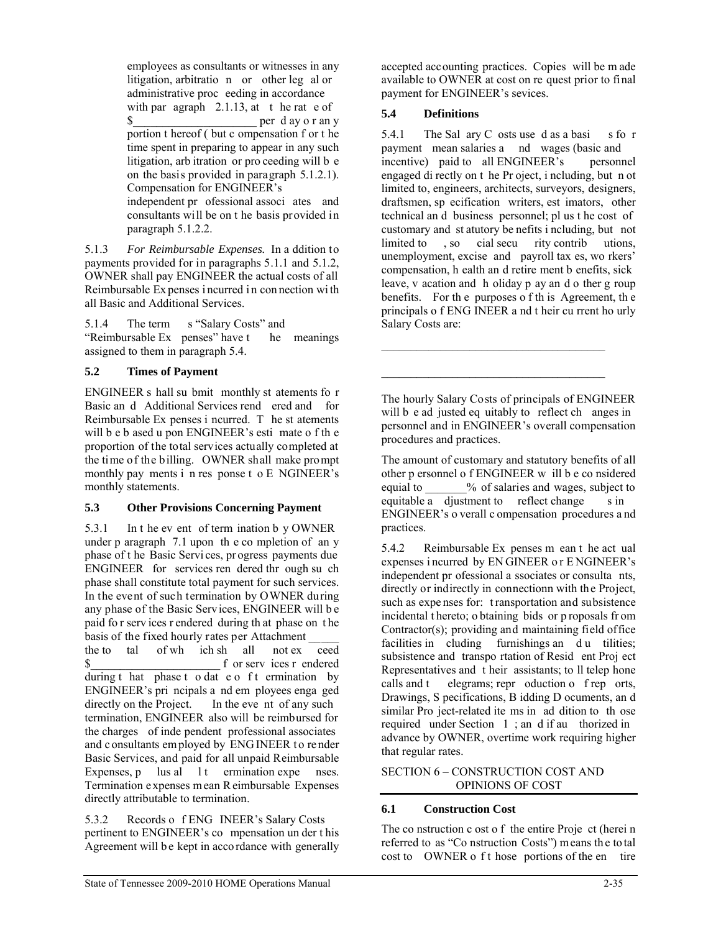employees as consultants or witnesses in any litigation, arbitratio n or other leg al or administrative proc eeding in accordance with par agraph 2.1.13, at t he rat e of \$ per d ay o r an y portion t hereof ( but c ompensation f or t he time spent in preparing to appear in any such litigation, arb itration or pro ceeding will b e on the basis provided in paragraph 5.1.2.1). Compensation for ENGINEER's independent pr ofessional associ ates and consultants will be on t he basis provided in paragraph 5.1.2.2.

5.1.3 *For Reimbursable Expenses.* In a ddition to payments provided for in paragraphs 5.1.1 and 5.1.2, OWNER shall pay ENGINEER the actual costs of all Reimbursable Ex penses i ncurred i n con nection wi th all Basic and Additional Services.

5.1.4 The term s "Salary Costs" and "Reimbursable Ex penses" have t he meanings assigned to them in paragraph 5.4.

# **5.2 Times of Payment**

ENGINEER s hall su bmit monthly st atements fo r Basic an d Additional Services rend ered and for Reimbursable Ex penses i ncurred. T he st atements will b e b ased u pon ENGINEER's esti mate o f th e proportion of the total services actually completed at the time of the billing. OWNER shall make prompt monthly pay ments i n res ponse t o E NGINEER's monthly statements.

## **5.3 Other Provisions Concerning Payment**

5.3.1 In t he ev ent of term ination b y OWNER under p aragraph 7.1 upon th e co mpletion of an y phase of t he Basic Servi ces, pr ogress payments due ENGINEER for services ren dered thr ough su ch phase shall constitute total payment for such services. In the event of such termination by OWNER during any phase of the Basic Services, ENGINEER will b e paid fo r serv ices r endered during th at phase on t he basis of the fixed hourly rates per Attachment \_\_\_\_\_

the to tal of wh ich sh all not ex ceed \$ f or serv ices r endered during t hat phase t  $\circ$  dat  $\circ$  o f t ermination by ENGINEER's pri ncipals a nd em ployees enga ged directly on the Project. In the event of any such termination, ENGINEER also will be reimbursed for the charges of inde pendent professional associates and c onsultants em ployed by ENG INEER to render Basic Services, and paid for all unpaid Reimbursable Expenses,  $p$  lus al 1 t ermination expe nses. Termination e xpenses m ean R eimbursable Expenses directly attributable to termination.

5.3.2 Records o f ENG INEER's Salary Costs pertinent to ENGINEER's co mpensation un der t his Agreement will be kept in accordance with generally accepted accounting practices. Copies will be m ade available to OWNER at cost on re quest prior to final payment for ENGINEER's sevices.

## **5.4 Definitions**

5.4.1 The Sal ary C osts use d as a basi s fo r payment mean salaries a nd wages (basic and incentive) paid to all ENGINEER's personnel engaged di rectly on t he Pr oject, i ncluding, but n ot limited to, engineers, architects, surveyors, designers, draftsmen, sp ecification writers, est imators, other technical an d business personnel; pl us t he cost of customary and st atutory be nefits i ncluding, but not limited to , so cial secu rity contrib utions, unemployment, excise and payroll tax es, wo rkers' compensation, h ealth an d retire ment b enefits, sick leave, v acation and h oliday p ay an d o ther g roup benefits. For th e purposes o f th is Agreement, th e principals o f ENG INEER a nd t heir cu rrent ho urly Salary Costs are:

The hourly Salary Costs of principals of ENGINEER will b e ad justed eq uitably to reflect ch anges in personnel and in ENGINEER's overall compensation procedures and practices.

\_\_\_\_\_\_\_\_\_\_\_\_\_\_\_\_\_\_\_\_\_\_\_\_\_\_\_\_\_\_\_\_\_\_\_\_\_\_

\_\_\_\_\_\_\_\_\_\_\_\_\_\_\_\_\_\_\_\_\_\_\_\_\_\_\_\_\_\_\_\_\_\_\_\_\_\_

The amount of customary and statutory benefits of all other p ersonnel o f ENGINEER w ill b e co nsidered equial to  $\frac{9}{6}$  of salaries and wages, subject to equitable a djustment to reflect change s in ENGINEER's o verall c ompensation procedures a nd practices.

5.4.2 Reimbursable Ex penses m ean t he act ual expenses i ncurred by EN GINEER o r E NGINEER's independent pr ofessional a ssociates or consulta nts, directly or indirectly in connectionn with the Project, such as expe nses for: t ransportation and subsistence incidental t hereto; o btaining bids or p roposals fr om Contractor(s); providing and maintaining field office facilities in cluding furnishings an du tilities: subsistence and transpo rtation of Resid ent Proj ect Representatives and t heir assistants; to ll telep hone calls and t elegrams; repr oduction o f rep orts, Drawings, S pecifications, B idding D ocuments, an d similar Pro ject-related ite ms in ad dition to th ose required under Section 1 ; an d if au thorized in advance by OWNER, overtime work requiring higher that regular rates.

#### SECTION 6 – CONSTRUCTION COST AND OPINIONS OF COST

# **6.1 Construction Cost**

The co nstruction c ost o f the entire Proje ct (herei n referred to as "Co nstruction Costs") means th e to tal cost to OWNER o f t hose portions of the en tire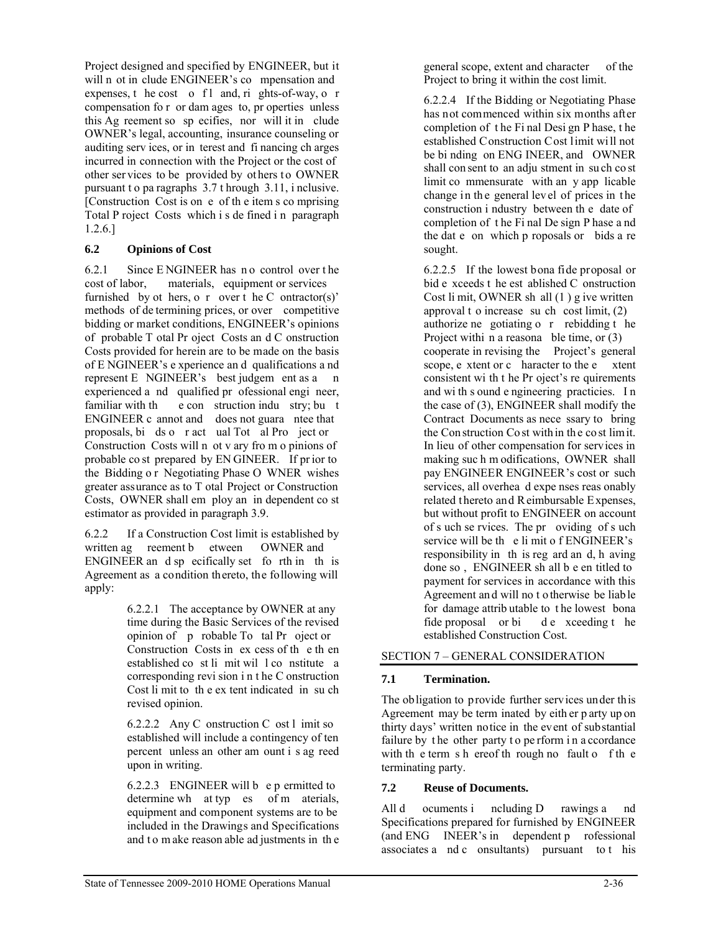Project designed and specified by ENGINEER, but it will n ot in clude ENGINEER's co mpensation and expenses, t he cost o f l and, ri ghts-of-way, o r compensation fo r or dam ages to, pr operties unless this Ag reement so sp ecifies, nor will it in clude OWNER's legal, accounting, insurance counseling or auditing serv ices, or in terest and fi nancing ch arges incurred in connection with the Project or the cost of other ser vices to be provided by others to OWNER pursuant t o pa ragraphs 3.7 t hrough 3.11, i nclusive. [Construction Cost is on e of th e item s co mprising Total P roject Costs which i s de fined i n paragraph 1.2.6.]

## **6.2 Opinions of Cost**

6.2.1 Since E NGINEER has n o control over t he cost of labor, materials, equipment or services furnished by ot hers, o r over t he C ontractor(s)' methods of de termining prices, or over competitive bidding or market conditions, ENGINEER's opinions of probable T otal Pr oject Costs an d C onstruction Costs provided for herein are to be made on the basis of E NGINEER's e xperience an d qualifications a nd represent E NGINEER's best judgem ent as a n experienced a nd qualified pr ofessional engi neer, familiar with the e con struction indu stry; bu t ENGINEER c annot and does not guara ntee that proposals, bi ds o r act ual Tot al Pro ject or Construction Costs will n ot v ary fro m o pinions of probable co st prepared by EN GINEER. If pr ior to the Bidding or Negotiating Phase O WNER wishes greater assurance as to T otal Project or Construction Costs, OWNER shall em ploy an in dependent co st estimator as provided in paragraph 3.9.

6.2.2 If a Construction Cost limit is established by written ag reement b etween OWNER and ENGINEER an d sp ecifically set fo rth in th is Agreement as a condition thereto, the following will apply:

> 6.2.2.1 The acceptance by OWNER at any time during the Basic Services of the revised opinion of p robable To tal Pr oject or Construction Costs in ex cess of th e th en established co st li mit wil l co nstitute a corresponding revi sion i n t he C onstruction Cost li mit to th e ex tent indicated in su ch revised opinion.

> 6.2.2.2 Any C onstruction C ost l imit so established will include a contingency of ten percent unless an other am ount i s ag reed upon in writing.

> 6.2.2.3 ENGINEER will b e p ermitted to determine wh at typ es of m aterials, equipment and component systems are to be included in the Drawings and Specifications and to m ake reason able ad justments in the

general scope, extent and character of the Project to bring it within the cost limit.

 6.2.2.4 If the Bidding or Negotiating Phase has not commenced within six months after completion of t he Fi nal Desi gn P hase, t he established Construction Cost limit will not be bi nding on ENG INEER, and OWNER shall con sent to an adju stment in su ch co st limit co mmensurate with an y app licable change in the general level of prices in the construction i ndustry between th e date of completion of t he Fi nal De sign P hase a nd the dat e on which p roposals or bids a re sought.

 6.2.2.5 If the lowest bona fide proposal or bid e xceeds t he est ablished C onstruction Cost li mit, OWNER sh all (1 ) g ive written approval t o increase su ch cost limit, (2) authorize ne gotiating o r rebidding t he Project withi n a reasona ble time, or  $(3)$ cooperate in revising the Project's general scope, e xtent or c haracter to the e xtent consistent wi th t he Pr oject's re quirements and wi th s ound e ngineering practicies. I n the case of (3), ENGINEER shall modify the Contract Documents as nece ssary to bring the Con struction Co st with in the co st limit. In lieu of other compensation for services in making suc h m odifications, OWNER shall pay ENGINEER ENGINEER's cost or such services, all overhea d expe nses reas onably related thereto and Reimbursable Expenses, but without profit to ENGINEER on account of s uch se rvices. The pr oviding of s uch service will be th e li mit o f ENGINEER's responsibility in th is reg ard an d, h aving done so , ENGINEER sh all b e en titled to payment for services in accordance with this Agreement and will no t otherwise be liable for damage attrib utable to t he lowest bona fide proposal or bi d e xceeding t he established Construction Cost.

# SECTION 7 – GENERAL CONSIDERATION

# **7.1 Termination.**

The obligation to provide further services under this Agreement may be term inated by eith er p arty up on thirty days' written notice in the event of substantial failure by the other party to perform in a ccordance with the term shere of the rough no fault of the terminating party.

## **7.2 Reuse of Documents.**

All d ocuments i ncluding D rawings a nd Specifications prepared for furnished by ENGINEER (and ENG INEER's in dependent p rofessional associates a nd c onsultants) pursuant to t his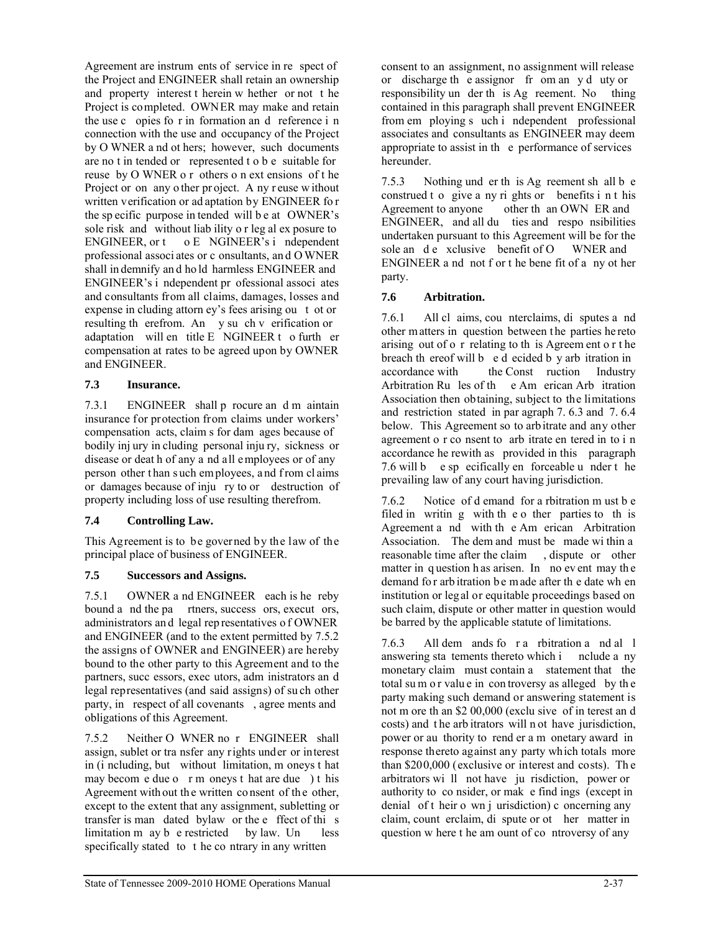Agreement are instrum ents of service in re spect of the Project and ENGINEER shall retain an ownership and property interest t herein w hether or not t he Project is completed. OWNER may make and retain the use c opies fo r in formation an d reference i n connection with the use and occupancy of the Project by O WNER a nd ot hers; however, such documents are no t in tended or represented t o b e suitable for reuse by O WNER o r others o n ext ensions of t he Project or on any o ther pr oject. A ny r euse w ithout written verification or ad aptation by ENGINEER fo r the sp ecific purpose in tended will b e at OWNER's sole risk and without liab ility o r leg al ex posure to ENGINEER, or t o E NGINEER's i ndependent professional associ ates or c onsultants, an d O WNER shall in demnify an d ho ld harmless ENGINEER and ENGINEER's i ndependent pr ofessional associ ates and consultants from all claims, damages, losses and expense in cluding attorn ey's fees arising ou t ot or resulting th erefrom. An y su ch v erification or adaptation will en title E NGINEER t o furth er compensation at rates to be agreed upon by OWNER and ENGINEER.

# **7.3 Insurance.**

7.3.1 ENGINEER shall p rocure an d m aintain insurance for protection from claims under workers' compensation acts, claim s for dam ages because of bodily inj ury in cluding personal inju ry, sickness or disease or deat h of any a nd all employees or of any person other than such employees, and from claims or damages because of inju ry to or destruction of property including loss of use resulting therefrom.

# **7.4 Controlling Law.**

This Agreement is to be governed by the law of the principal place of business of ENGINEER.

## **7.5 Successors and Assigns.**

7.5.1 OWNER a nd ENGINEER each is he reby bound a nd the pa rtners, success ors, execut ors, administrators an d legal rep resentatives o f OWNER and ENGINEER (and to the extent permitted by 7.5.2 the assigns of OWNER and ENGINEER) are hereby bound to the other party to this Agreement and to the partners, succ essors, exec utors, adm inistrators an d legal representatives (and said assigns) of su ch other party, in respect of all covenants , agree ments and obligations of this Agreement.

7.5.2 Neither O WNER no r ENGINEER shall assign, sublet or tra nsfer any rights under or interest in (i ncluding, but without limitation, m oneys t hat may becom e due o r m oneys t hat are due ) t his Agreement with out the written consent of the other, except to the extent that any assignment, subletting or transfer is man dated bylaw or the e ffect of thi s limitation m ay b e restricted by law. Un less specifically stated to t he co ntrary in any written

consent to an assignment, no assignment will release or discharge th e assignor fr om an y d uty or responsibility un der th is Ag reement. No thing contained in this paragraph shall prevent ENGINEER from em ploying s uch i ndependent professional associates and consultants as ENGINEER may deem appropriate to assist in th e performance of services hereunder.

7.5.3 Nothing und er th is Ag reement sh all b e construed t o give a ny ri ghts or benefits i n t his Agreement to anyone other th an OWN ER and ENGINEER, and all du ties and respo nsibilities undertaken pursuant to this Agreement will be for the sole an de xclusive benefit of O WNER and ENGINEER a nd not f or t he bene fit of a ny ot her party.

# **7.6 Arbitration.**

7.6.1 All cl aims, cou nterclaims, di sputes a nd other m atters in question between t he parties he reto arising out of o r relating to th is Agreem ent o r t he breach th ereof will b e d ecided b y arb itration in accordance with the Const ruction Industry Arbitration Ru les of th e Am erican Arb itration Association then obtaining, subject to the limitations and restriction stated in par agraph 7. 6.3 and 7. 6.4 below. This Agreement so to arbitrate and any other agreement o r co nsent to arb itrate en tered in to i n accordance he rewith as provided in this paragraph 7.6 will b e sp ecifically en forceable u nder t he prevailing law of any court having jurisdiction.

7.6.2 Notice of d emand for a rbitration m ust b e filed in writin g with th e o ther parties to th is Agreement a nd with th e Am erican Arbitration Association. The dem and must be made wi thin a reasonable time after the claim , dispute or other matter in question h as arisen. In no ev ent may the demand fo r arb itration b e m ade after th e date wh en institution or legal or equitable proceedings based on such claim, dispute or other matter in question would be barred by the applicable statute of limitations.

7.6.3 All dem ands fo r a rbitration a nd al l answering sta tements thereto which i nclude a ny monetary claim must contain a statement that the total su m o r valu e in con troversy as alleged by th e party making such demand or answering statement is not m ore th an \$2 00,000 (exclu sive of in terest an d costs) and t he arb itrators will n ot have jurisdiction, power or au thority to rend er a m onetary award in response thereto against any party which totals more than \$200,000 (exclusive or interest and costs). Th e arbitrators wi ll not have ju risdiction, power or authority to co nsider, or mak e find ings (except in denial of t heir o wn j urisdiction) c oncerning any claim, count erclaim, di spute or ot her matter in question w here t he am ount of co ntroversy of any